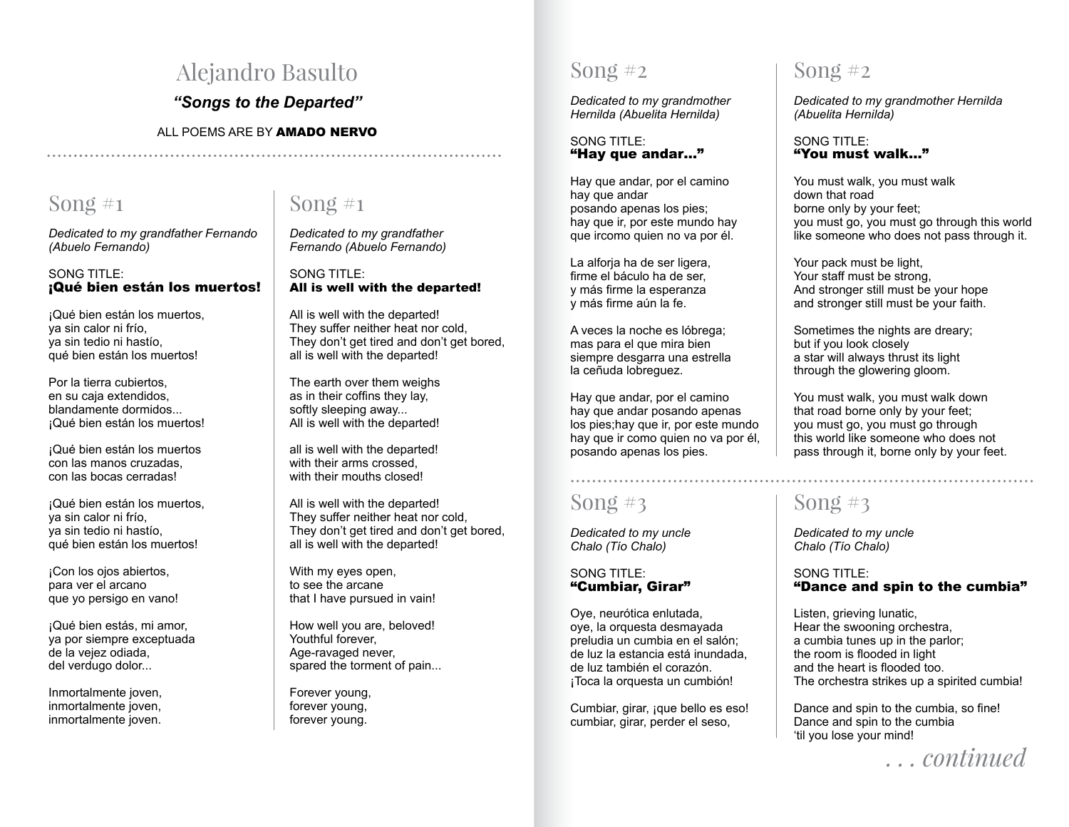# Alejandro Basulto

*"Songs to the Departed"*

### ALL POEMS ARE BY AMADO NERVO

### Song  $\#$ 1

Song  $#1$ 

*Dedicated to my grandfather Fernando (Abuelo Fernando)*

### SONG TITLE: ¡Qué bien están los muertos!

¡Qué bien están los muertos, ya sin calor ni frío, ya sin tedio ni hastío, qué bien están los muertos!

Por la tierra cubiertos, en su caja extendidos, blandamente dormidos... ¡Qué bien están los muertos!

¡Qué bien están los muertos con las manos cruzadas, con las bocas cerradas!

¡Qué bien están los muertos, ya sin calor ni frío, ya sin tedio ni hastío, qué bien están los muertos!

¡Con los ojos abiertos, para ver el arcano que yo persigo en vano!

¡Qué bien estás, mi amor, ya por siempre exceptuada de la vejez odiada, del verdugo dolor...

Inmortalmente joven, inmortalmente joven, inmortalmente joven.

*Dedicated to my grandfather Fernando (Abuelo Fernando)*

SONG TITLE: All is well with the departed!

All is well with the departed! They suffer neither heat nor cold, They don't get tired and don't get bored, all is well with the departed!

The earth over them weighs as in their coffins they lay, softly sleeping away... All is well with the departed!

all is well with the departed! with their arms crossed, with their mouths closed!

All is well with the departed! They suffer neither heat nor cold, They don't get tired and don't get bored, all is well with the departed!

With my eyes open, to see the arcane that I have pursued in vain!

How well you are, beloved! Youthful forever. Age-ravaged never, spared the torment of pain...

Forever young, forever young, forever young.

# Song  $#2$

*Dedicated to my grandmother Hernilda (Abuelita Hernilda)*

#### SONG TITLE: "Hay que andar…"

Hay que andar, por el camino hay que andar posando apenas los pies; hay que ir, por este mundo hay que ircomo quien no va por él.

La alforja ha de ser ligera, firme el báculo ha de ser, y más firme la esperanza y más firme aún la fe.

A veces la noche es lóbrega; mas para el que mira bien siempre desgarra una estrella la ceñuda lobreguez.

Hay que andar, por el camino hay que andar posando apenas los pies;hay que ir, por este mundo hay que ir como quien no va por él, posando apenas los pies.

# Song  $#3$

*Dedicated to my uncle Chalo (Tío Chalo)*

SONG TITLE: "Cumbiar, Girar"

Oye, neurótica enlutada, oye, la orquesta desmayada preludia un cumbia en el salón; de luz la estancia está inundada, de luz también el corazón. ¡Toca la orquesta un cumbión!

Cumbiar, girar, ¡que bello es eso! cumbiar, girar, perder el seso,

### Song  $#2$

*Dedicated to my grandmother Hernilda (Abuelita Hernilda)*

#### SONG TITLE: "You must walk..."

You must walk, you must walk down that road borne only by your feet; you must go, you must go through this world like someone who does not pass through it.

Your pack must be light, Your staff must be strong, And stronger still must be your hope and stronger still must be your faith.

Sometimes the nights are dreary; but if you look closely a star will always thrust its light through the glowering gloom.

You must walk, you must walk down that road borne only by your feet; you must go, you must go through this world like someone who does not pass through it, borne only by your feet.

# Song  $#3$

*Dedicated to my uncle Chalo (Tío Chalo)*

### SONG TITLE: "Dance and spin to the cumbia"

Listen, grieving lunatic, Hear the swooning orchestra, a cumbia tunes up in the parlor; the room is flooded in light and the heart is flooded too. The orchestra strikes up a spirited cumbia!

Dance and spin to the cumbia, so fine! Dance and spin to the cumbia 'til you lose your mind!

*. . . continued*